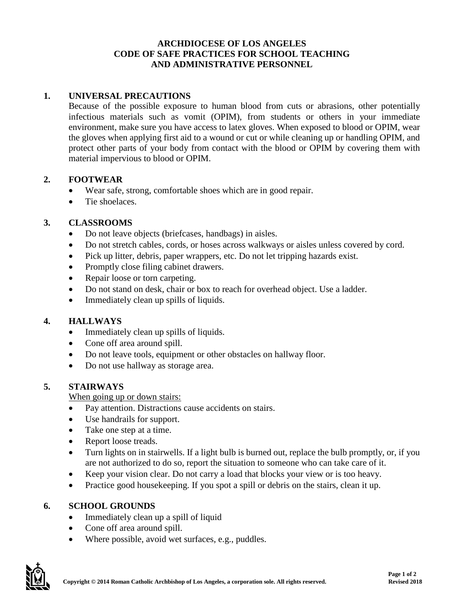# **ARCHDIOCESE OF LOS ANGELES CODE OF SAFE PRACTICES FOR SCHOOL TEACHING AND ADMINISTRATIVE PERSONNEL**

### **1. UNIVERSAL PRECAUTIONS**

Because of the possible exposure to human blood from cuts or abrasions, other potentially infectious materials such as vomit (OPIM), from students or others in your immediate environment, make sure you have access to latex gloves. When exposed to blood or OPIM, wear the gloves when applying first aid to a wound or cut or while cleaning up or handling OPIM, and protect other parts of your body from contact with the blood or OPIM by covering them with material impervious to blood or OPIM.

# **2. FOOTWEAR**

- Wear safe, strong, comfortable shoes which are in good repair.
- Tie shoelaces.

# **3. CLASSROOMS**

- Do not leave objects (briefcases, handbags) in aisles.
- Do not stretch cables, cords, or hoses across walkways or aisles unless covered by cord.
- Pick up litter, debris, paper wrappers, etc. Do not let tripping hazards exist.
- Promptly close filing cabinet drawers.
- Repair loose or torn carpeting.
- Do not stand on desk, chair or box to reach for overhead object. Use a ladder.
- Immediately clean up spills of liquids.

#### **4. HALLWAYS**

- Immediately clean up spills of liquids.
- Cone off area around spill.
- Do not leave tools, equipment or other obstacles on hallway floor.
- Do not use hallway as storage area.

# **5. STAIRWAYS**

When going up or down stairs:

- Pay attention. Distractions cause accidents on stairs.
- Use handrails for support.
- Take one step at a time.
- Report loose treads.
- Turn lights on in stairwells. If a light bulb is burned out, replace the bulb promptly, or, if you are not authorized to do so, report the situation to someone who can take care of it.
- Keep your vision clear. Do not carry a load that blocks your view or is too heavy.
- Practice good house keeping. If you spot a spill or debris on the stairs, clean it up.

# **6. SCHOOL GROUNDS**

- Immediately clean up a spill of liquid
- Cone off area around spill.
- Where possible, avoid wet surfaces, e.g., puddles.